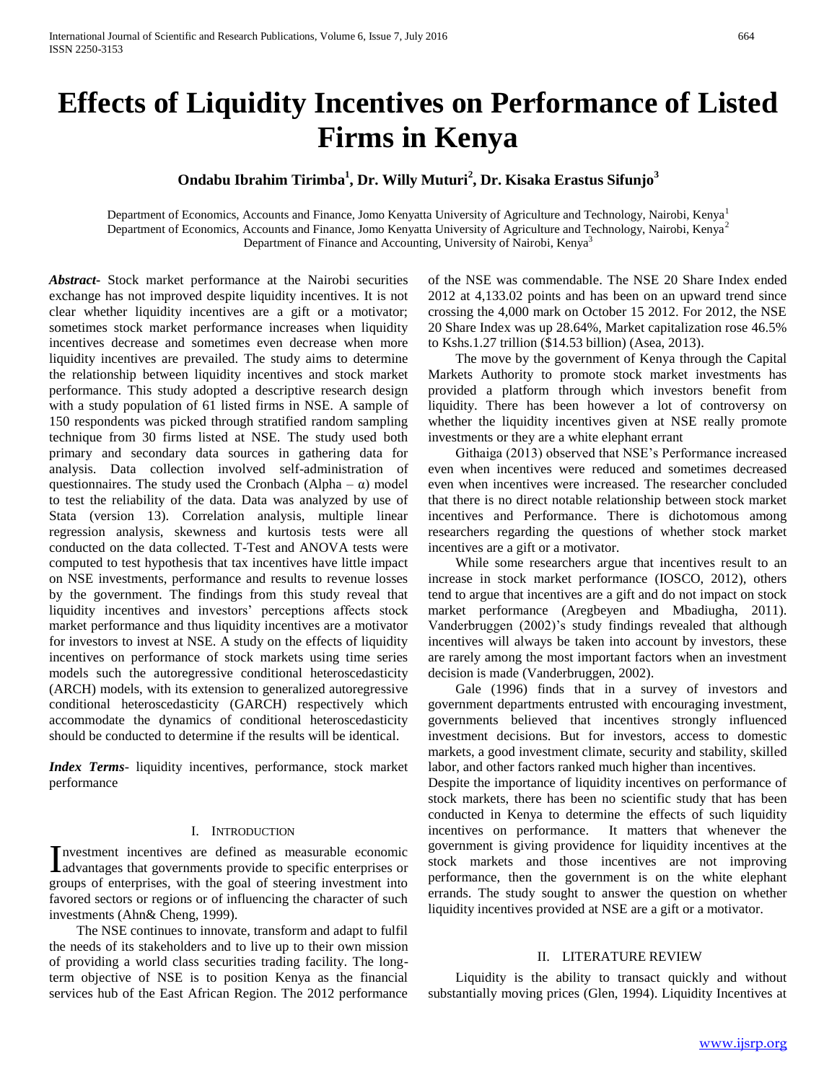# **Effects of Liquidity Incentives on Performance of Listed Firms in Kenya**

# **Ondabu Ibrahim Tirimba<sup>1</sup> , Dr. Willy Muturi<sup>2</sup> , Dr. Kisaka Erastus Sifunjo<sup>3</sup>**

Department of Economics, Accounts and Finance, Jomo Kenyatta University of Agriculture and Technology, Nairobi, Kenya<sup>1</sup> Department of Economics, Accounts and Finance, Jomo Kenyatta University of Agriculture and Technology, Nairobi, Kenya<sup>2</sup> Department of Finance and Accounting, University of Nairobi, Kenya<sup>3</sup>

*Abstract***-** Stock market performance at the Nairobi securities exchange has not improved despite liquidity incentives. It is not clear whether liquidity incentives are a gift or a motivator; sometimes stock market performance increases when liquidity incentives decrease and sometimes even decrease when more liquidity incentives are prevailed. The study aims to determine the relationship between liquidity incentives and stock market performance. This study adopted a descriptive research design with a study population of 61 listed firms in NSE. A sample of 150 respondents was picked through stratified random sampling technique from 30 firms listed at NSE. The study used both primary and secondary data sources in gathering data for analysis. Data collection involved self-administration of questionnaires. The study used the Cronbach (Alpha –  $\alpha$ ) model to test the reliability of the data. Data was analyzed by use of Stata (version 13). Correlation analysis, multiple linear regression analysis, skewness and kurtosis tests were all conducted on the data collected. T-Test and ANOVA tests were computed to test hypothesis that tax incentives have little impact on NSE investments, performance and results to revenue losses by the government. The findings from this study reveal that liquidity incentives and investors' perceptions affects stock market performance and thus liquidity incentives are a motivator for investors to invest at NSE. A study on the effects of liquidity incentives on performance of stock markets using time series models such the autoregressive conditional heteroscedasticity (ARCH) models, with its extension to generalized autoregressive conditional heteroscedasticity (GARCH) respectively which accommodate the dynamics of conditional heteroscedasticity should be conducted to determine if the results will be identical.

*Index Terms*- liquidity incentives, performance, stock market performance

#### I. INTRODUCTION

nvestment incentives are defined as measurable economic Investment incentives are defined as measurable economic<br>davantages that governments provide to specific enterprises or groups of enterprises, with the goal of steering investment into favored sectors or regions or of influencing the character of such investments (Ahn& Cheng, 1999).

 The NSE continues to innovate, transform and adapt to fulfil the needs of its stakeholders and to live up to their own mission of providing a world class securities trading facility. The longterm objective of NSE is to position Kenya as the financial services hub of the East African Region. The 2012 performance of the NSE was commendable. The NSE 20 Share Index ended 2012 at 4,133.02 points and has been on an upward trend since crossing the 4,000 mark on October 15 2012. For 2012, the NSE 20 Share Index was up 28.64%, Market capitalization rose 46.5% to Kshs.1.27 trillion (\$14.53 billion) (Asea, 2013).

 The move by the government of Kenya through the Capital Markets Authority to promote stock market investments has provided a platform through which investors benefit from liquidity. There has been however a lot of controversy on whether the liquidity incentives given at NSE really promote investments or they are a white elephant errant

 Githaiga (2013) observed that NSE's Performance increased even when incentives were reduced and sometimes decreased even when incentives were increased. The researcher concluded that there is no direct notable relationship between stock market incentives and Performance. There is dichotomous among researchers regarding the questions of whether stock market incentives are a gift or a motivator.

 While some researchers argue that incentives result to an increase in stock market performance (IOSCO, 2012), others tend to argue that incentives are a gift and do not impact on stock market performance (Aregbeyen and Mbadiugha, 2011). Vanderbruggen (2002)'s study findings revealed that although incentives will always be taken into account by investors, these are rarely among the most important factors when an investment decision is made (Vanderbruggen, 2002).

 Gale (1996) finds that in a survey of investors and government departments entrusted with encouraging investment, governments believed that incentives strongly influenced investment decisions. But for investors, access to domestic markets, a good investment climate, security and stability, skilled labor, and other factors ranked much higher than incentives.

Despite the importance of liquidity incentives on performance of stock markets, there has been no scientific study that has been conducted in Kenya to determine the effects of such liquidity incentives on performance. It matters that whenever the government is giving providence for liquidity incentives at the stock markets and those incentives are not improving performance, then the government is on the white elephant errands. The study sought to answer the question on whether liquidity incentives provided at NSE are a gift or a motivator.

#### II. LITERATURE REVIEW

 Liquidity is the ability to transact quickly and without substantially moving prices (Glen, 1994). Liquidity Incentives at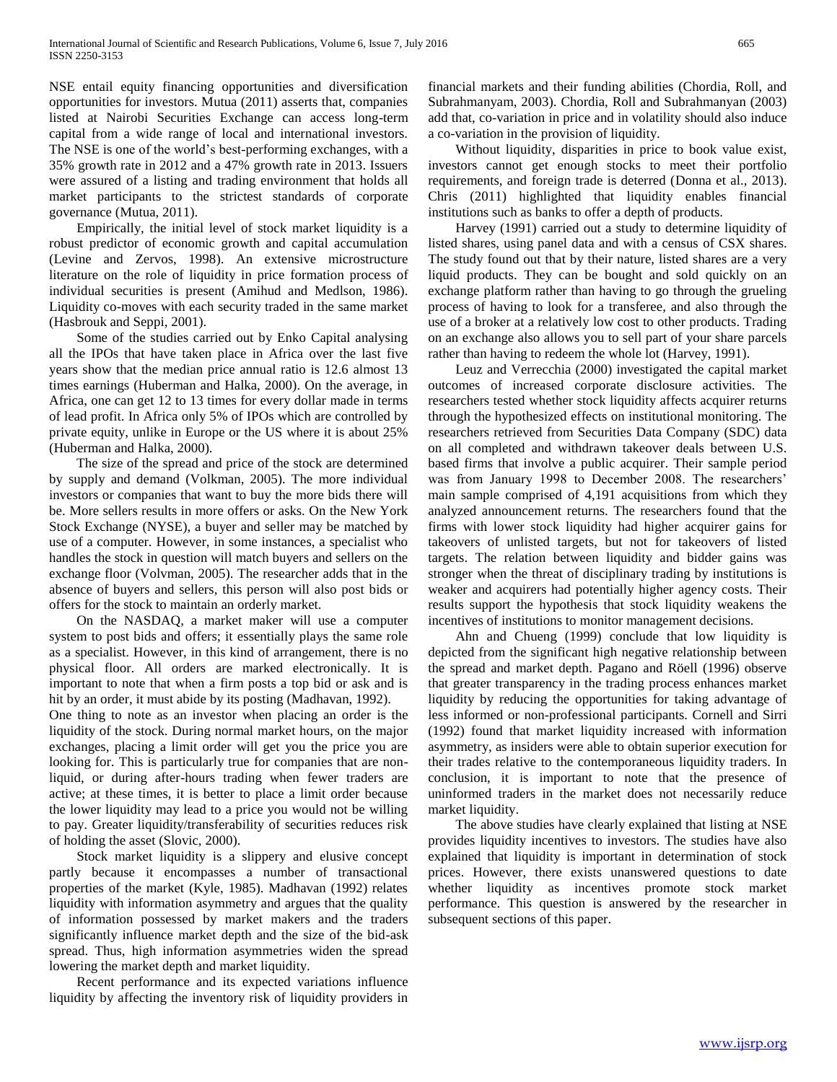NSE entail equity financing opportunities and diversification opportunities for investors. Mutua (2011) asserts that, companies listed at Nairobi Securities Exchange can access long-term capital from a wide range of local and international investors. The NSE is one of the world's best-performing exchanges, with a 35% growth rate in 2012 and a 47% growth rate in 2013. Issuers were assured of a listing and trading environment that holds all market participants to the strictest standards of corporate governance (Mutua, 2011).

 Empirically, the initial level of stock market liquidity is a robust predictor of economic growth and capital accumulation (Levine and Zervos, 1998). An extensive microstructure literature on the role of liquidity in price formation process of individual securities is present (Amihud and Medlson, 1986). Liquidity co-moves with each security traded in the same market (Hasbrouk and Seppi, 2001).

 Some of the studies carried out by Enko Capital analysing all the IPOs that have taken place in Africa over the last five years show that the median price annual ratio is 12.6 almost 13 times earnings (Huberman and Halka, 2000). On the average, in Africa, one can get 12 to 13 times for every dollar made in terms of lead profit. In Africa only 5% of IPOs which are controlled by private equity, unlike in Europe or the US where it is about 25% (Huberman and Halka, 2000).

 The size of the spread and price of the stock are determined by supply and demand (Volkman, 2005). The more individual investors or companies that want to buy the more bids there will be. More sellers results in more offers or asks. On the New York Stock Exchange (NYSE), a buyer and seller may be matched by use of a computer. However, in some instances, a specialist who handles the stock in question will match buyers and sellers on the exchange floor (Volvman, 2005). The researcher adds that in the absence of buyers and sellers, this person will also post bids or offers for the stock to maintain an orderly market.

 On the NASDAQ, a market maker will use a computer system to post bids and offers; it essentially plays the same role as a specialist. However, in this kind of arrangement, there is no physical floor. All orders are marked electronically. It is important to note that when a firm posts a top bid or ask and is hit by an order, it must abide by its posting (Madhavan, 1992).

One thing to note as an investor when placing an order is the liquidity of the stock. During normal market hours, on the major exchanges, placing a limit order will get you the price you are looking for. This is particularly true for companies that are nonliquid, or during after-hours trading when fewer traders are active; at these times, it is better to place a limit order because the lower liquidity may lead to a price you would not be willing to pay. Greater liquidity/transferability of securities reduces risk of holding the asset (Slovic, 2000).

 Stock market liquidity is a slippery and elusive concept partly because it encompasses a number of transactional properties of the market (Kyle, 1985). Madhavan (1992) relates liquidity with information asymmetry and argues that the quality of information possessed by market makers and the traders significantly influence market depth and the size of the bid-ask spread. Thus, high information asymmetries widen the spread lowering the market depth and market liquidity.

 Recent performance and its expected variations influence liquidity by affecting the inventory risk of liquidity providers in financial markets and their funding abilities (Chordia, Roll, and Subrahmanyam, 2003). Chordia, Roll and Subrahmanyan (2003) add that, co-variation in price and in volatility should also induce a co-variation in the provision of liquidity.

 Without liquidity, disparities in price to book value exist, investors cannot get enough stocks to meet their portfolio requirements, and foreign trade is deterred (Donna et al., 2013). Chris (2011) highlighted that liquidity enables financial institutions such as banks to offer a depth of products.

 Harvey (1991) carried out a study to determine liquidity of listed shares, using panel data and with a census of CSX shares. The study found out that by their nature, listed shares are a very liquid products. They can be bought and sold quickly on an exchange platform rather than having to go through the grueling process of having to look for a transferee, and also through the use of a broker at a relatively low cost to other products. Trading on an exchange also allows you to sell part of your share parcels rather than having to redeem the whole lot (Harvey, 1991).

 Leuz and Verrecchia (2000) investigated the capital market outcomes of increased corporate disclosure activities. The researchers tested whether stock liquidity affects acquirer returns through the hypothesized effects on institutional monitoring. The researchers retrieved from Securities Data Company (SDC) data on all completed and withdrawn takeover deals between U.S. based firms that involve a public acquirer. Their sample period was from January 1998 to December 2008. The researchers' main sample comprised of 4,191 acquisitions from which they analyzed announcement returns. The researchers found that the firms with lower stock liquidity had higher acquirer gains for takeovers of unlisted targets, but not for takeovers of listed targets. The relation between liquidity and bidder gains was stronger when the threat of disciplinary trading by institutions is weaker and acquirers had potentially higher agency costs. Their results support the hypothesis that stock liquidity weakens the incentives of institutions to monitor management decisions.

 Ahn and Chueng (1999) conclude that low liquidity is depicted from the significant high negative relationship between the spread and market depth. Pagano and Röell (1996) observe that greater transparency in the trading process enhances market liquidity by reducing the opportunities for taking advantage of less informed or non-professional participants. Cornell and Sirri (1992) found that market liquidity increased with information asymmetry, as insiders were able to obtain superior execution for their trades relative to the contemporaneous liquidity traders. In conclusion, it is important to note that the presence of uninformed traders in the market does not necessarily reduce market liquidity.

 The above studies have clearly explained that listing at NSE provides liquidity incentives to investors. The studies have also explained that liquidity is important in determination of stock prices. However, there exists unanswered questions to date whether liquidity as incentives promote stock market performance. This question is answered by the researcher in subsequent sections of this paper.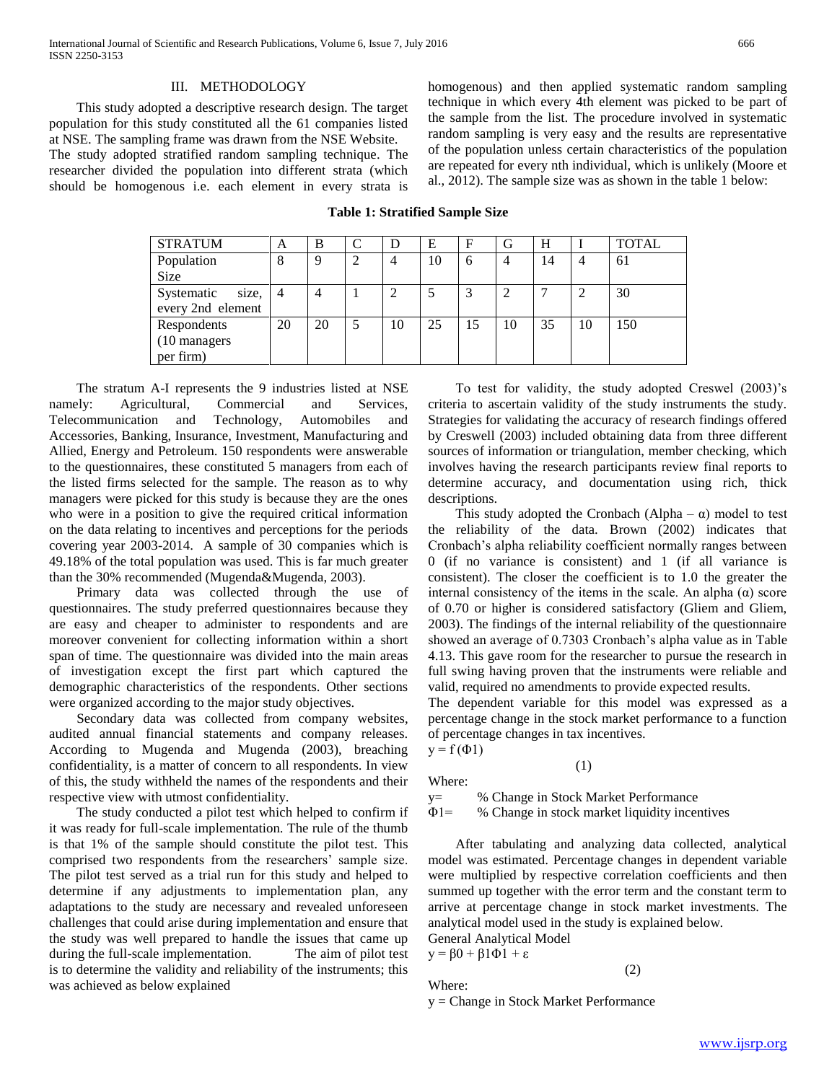#### III. METHODOLOGY

 This study adopted a descriptive research design. The target population for this study constituted all the 61 companies listed at NSE. The sampling frame was drawn from the NSE Website. The study adopted stratified random sampling technique. The

researcher divided the population into different strata (which should be homogenous i.e. each element in every strata is homogenous) and then applied systematic random sampling technique in which every 4th element was picked to be part of the sample from the list. The procedure involved in systematic random sampling is very easy and the results are representative of the population unless certain characteristics of the population are repeated for every nth individual, which is unlikely (Moore et al., 2012). The sample size was as shown in the table 1 below:

**Table 1: Stratified Sample Size**

| <b>STRATUM</b>      | A  | B  | D  | Е  | F   | G  | H  |    | <b>TOTAL</b> |
|---------------------|----|----|----|----|-----|----|----|----|--------------|
| Population          | 8  | Q  |    | 10 | 6   | 4  | 14 | 4  | 61           |
| <b>Size</b>         |    |    |    |    |     |    |    |    |              |
| Systematic<br>size, | -4 | 4  |    |    | 3   |    |    |    | 30           |
| every 2nd element   |    |    |    |    |     |    |    |    |              |
| Respondents         | 20 | 20 | 10 | 25 | -15 | 10 | 35 | 10 | 150          |
| (10 managers)       |    |    |    |    |     |    |    |    |              |
| per firm)           |    |    |    |    |     |    |    |    |              |

 The stratum A-I represents the 9 industries listed at NSE namely: Agricultural, Commercial and Services, Telecommunication and Technology, Automobiles and Accessories, Banking, Insurance, Investment, Manufacturing and Allied, Energy and Petroleum. 150 respondents were answerable to the questionnaires, these constituted 5 managers from each of the listed firms selected for the sample. The reason as to why managers were picked for this study is because they are the ones who were in a position to give the required critical information on the data relating to incentives and perceptions for the periods covering year 2003-2014. A sample of 30 companies which is 49.18% of the total population was used. This is far much greater than the 30% recommended (Mugenda&Mugenda, 2003).

 Primary data was collected through the use of questionnaires. The study preferred questionnaires because they are easy and cheaper to administer to respondents and are moreover convenient for collecting information within a short span of time. The questionnaire was divided into the main areas of investigation except the first part which captured the demographic characteristics of the respondents. Other sections were organized according to the major study objectives.

 Secondary data was collected from company websites, audited annual financial statements and company releases. According to Mugenda and Mugenda (2003), breaching confidentiality, is a matter of concern to all respondents. In view of this, the study withheld the names of the respondents and their respective view with utmost confidentiality.

 The study conducted a pilot test which helped to confirm if it was ready for full-scale implementation. The rule of the thumb is that 1% of the sample should constitute the pilot test. This comprised two respondents from the researchers' sample size. The pilot test served as a trial run for this study and helped to determine if any adjustments to implementation plan, any adaptations to the study are necessary and revealed unforeseen challenges that could arise during implementation and ensure that the study was well prepared to handle the issues that came up during the full-scale implementation. The aim of pilot test is to determine the validity and reliability of the instruments; this was achieved as below explained

 To test for validity, the study adopted Creswel (2003)'s criteria to ascertain validity of the study instruments the study. Strategies for validating the accuracy of research findings offered by Creswell (2003) included obtaining data from three different sources of information or triangulation, member checking, which involves having the research participants review final reports to determine accuracy, and documentation using rich, thick descriptions.

This study adopted the Cronbach (Alpha –  $\alpha$ ) model to test the reliability of the data. Brown (2002) indicates that Cronbach's alpha reliability coefficient normally ranges between 0 (if no variance is consistent) and 1 (if all variance is consistent). The closer the coefficient is to 1.0 the greater the internal consistency of the items in the scale. An alpha  $(\alpha)$  score of 0.70 or higher is considered satisfactory (Gliem and Gliem, 2003). The findings of the internal reliability of the questionnaire showed an average of 0.7303 Cronbach's alpha value as in Table 4.13. This gave room for the researcher to pursue the research in full swing having proven that the instruments were reliable and valid, required no amendments to provide expected results.

The dependent variable for this model was expressed as a percentage change in the stock market performance to a function of percentage changes in tax incentives.

$$
y = f(\Phi 1)
$$

Where:

y= % Change in Stock Market Performance

Φ1= % Change in stock market liquidity incentives

(1)

 After tabulating and analyzing data collected, analytical model was estimated. Percentage changes in dependent variable were multiplied by respective correlation coefficients and then summed up together with the error term and the constant term to arrive at percentage change in stock market investments. The analytical model used in the study is explained below. General Analytical Model

y =  $β0 + β1Φ1 + ε$ 

Where:

(2)

y = Change in Stock Market Performance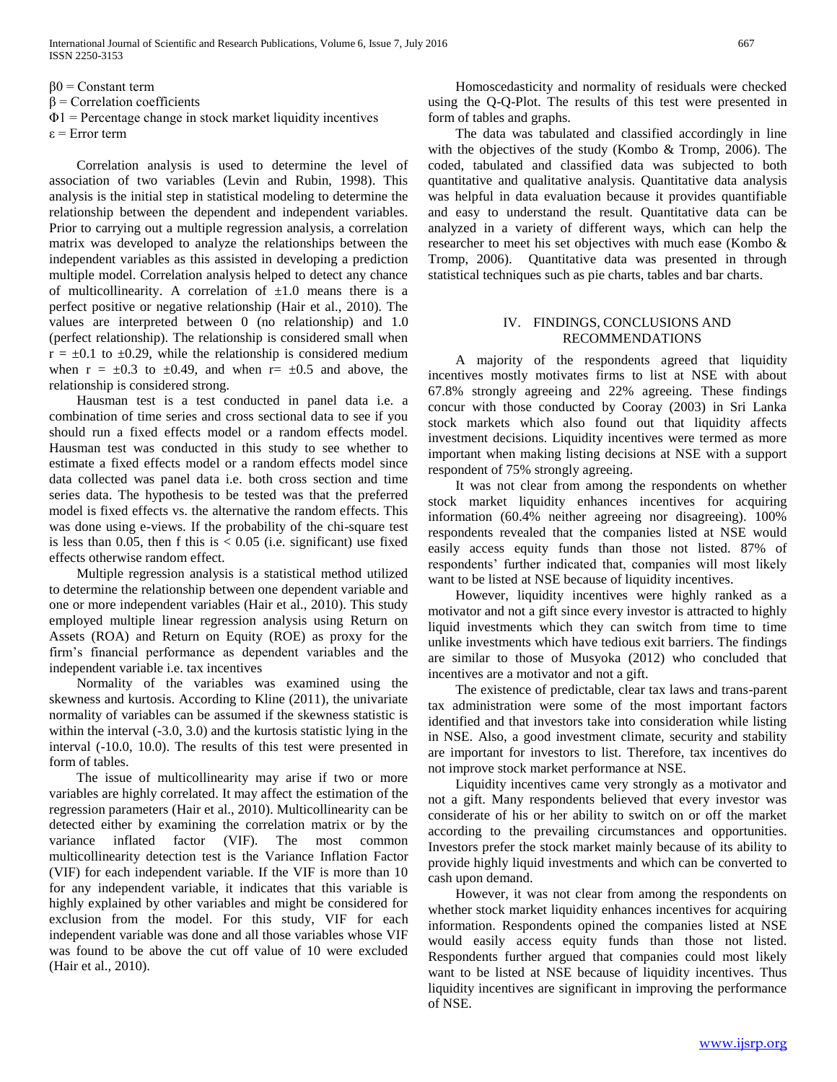$\beta$ 0 = Constant term

 $β = Correlation coefficients$ 

 $\Phi$ 1 = Percentage change in stock market liquidity incentives

 $\varepsilon$  = Error term

 Correlation analysis is used to determine the level of association of two variables (Levin and Rubin, 1998). This analysis is the initial step in statistical modeling to determine the relationship between the dependent and independent variables. Prior to carrying out a multiple regression analysis, a correlation matrix was developed to analyze the relationships between the independent variables as this assisted in developing a prediction multiple model. Correlation analysis helped to detect any chance of multicollinearity. A correlation of  $\pm 1.0$  means there is a perfect positive or negative relationship (Hair et al., 2010). The values are interpreted between 0 (no relationship) and 1.0 (perfect relationship). The relationship is considered small when  $r = \pm 0.1$  to  $\pm 0.29$ , while the relationship is considered medium when  $r = \pm 0.3$  to  $\pm 0.49$ , and when  $r = \pm 0.5$  and above, the relationship is considered strong.

 Hausman test is a test conducted in panel data i.e. a combination of time series and cross sectional data to see if you should run a fixed effects model or a random effects model. Hausman test was conducted in this study to see whether to estimate a fixed effects model or a random effects model since data collected was panel data i.e. both cross section and time series data. The hypothesis to be tested was that the preferred model is fixed effects vs. the alternative the random effects. This was done using e-views. If the probability of the chi-square test is less than 0.05, then f this is  $< 0.05$  (i.e. significant) use fixed effects otherwise random effect.

 Multiple regression analysis is a statistical method utilized to determine the relationship between one dependent variable and one or more independent variables (Hair et al., 2010). This study employed multiple linear regression analysis using Return on Assets (ROA) and Return on Equity (ROE) as proxy for the firm's financial performance as dependent variables and the independent variable i.e. tax incentives

 Normality of the variables was examined using the skewness and kurtosis. According to Kline (2011), the univariate normality of variables can be assumed if the skewness statistic is within the interval (-3.0, 3.0) and the kurtosis statistic lying in the interval (-10.0, 10.0). The results of this test were presented in form of tables.

 The issue of multicollinearity may arise if two or more variables are highly correlated. It may affect the estimation of the regression parameters (Hair et al., 2010). Multicollinearity can be detected either by examining the correlation matrix or by the variance inflated factor (VIF). The most common multicollinearity detection test is the Variance Inflation Factor (VIF) for each independent variable. If the VIF is more than 10 for any independent variable, it indicates that this variable is highly explained by other variables and might be considered for exclusion from the model. For this study, VIF for each independent variable was done and all those variables whose VIF was found to be above the cut off value of 10 were excluded (Hair et al., 2010).

 Homoscedasticity and normality of residuals were checked using the Q-Q-Plot. The results of this test were presented in form of tables and graphs.

 The data was tabulated and classified accordingly in line with the objectives of the study (Kombo & Tromp, 2006). The coded, tabulated and classified data was subjected to both quantitative and qualitative analysis. Quantitative data analysis was helpful in data evaluation because it provides quantifiable and easy to understand the result. Quantitative data can be analyzed in a variety of different ways, which can help the researcher to meet his set objectives with much ease (Kombo & Tromp, 2006). Quantitative data was presented in through statistical techniques such as pie charts, tables and bar charts.

#### IV. FINDINGS, CONCLUSIONS AND RECOMMENDATIONS

 A majority of the respondents agreed that liquidity incentives mostly motivates firms to list at NSE with about 67.8% strongly agreeing and 22% agreeing. These findings concur with those conducted by Cooray (2003) in Sri Lanka stock markets which also found out that liquidity affects investment decisions. Liquidity incentives were termed as more important when making listing decisions at NSE with a support respondent of 75% strongly agreeing.

 It was not clear from among the respondents on whether stock market liquidity enhances incentives for acquiring information (60.4% neither agreeing nor disagreeing). 100% respondents revealed that the companies listed at NSE would easily access equity funds than those not listed. 87% of respondents' further indicated that, companies will most likely want to be listed at NSE because of liquidity incentives.

 However, liquidity incentives were highly ranked as a motivator and not a gift since every investor is attracted to highly liquid investments which they can switch from time to time unlike investments which have tedious exit barriers. The findings are similar to those of Musyoka (2012) who concluded that incentives are a motivator and not a gift.

 The existence of predictable, clear tax laws and trans-parent tax administration were some of the most important factors identified and that investors take into consideration while listing in NSE. Also, a good investment climate, security and stability are important for investors to list. Therefore, tax incentives do not improve stock market performance at NSE.

 Liquidity incentives came very strongly as a motivator and not a gift. Many respondents believed that every investor was considerate of his or her ability to switch on or off the market according to the prevailing circumstances and opportunities. Investors prefer the stock market mainly because of its ability to provide highly liquid investments and which can be converted to cash upon demand.

 However, it was not clear from among the respondents on whether stock market liquidity enhances incentives for acquiring information. Respondents opined the companies listed at NSE would easily access equity funds than those not listed. Respondents further argued that companies could most likely want to be listed at NSE because of liquidity incentives. Thus liquidity incentives are significant in improving the performance of NSE.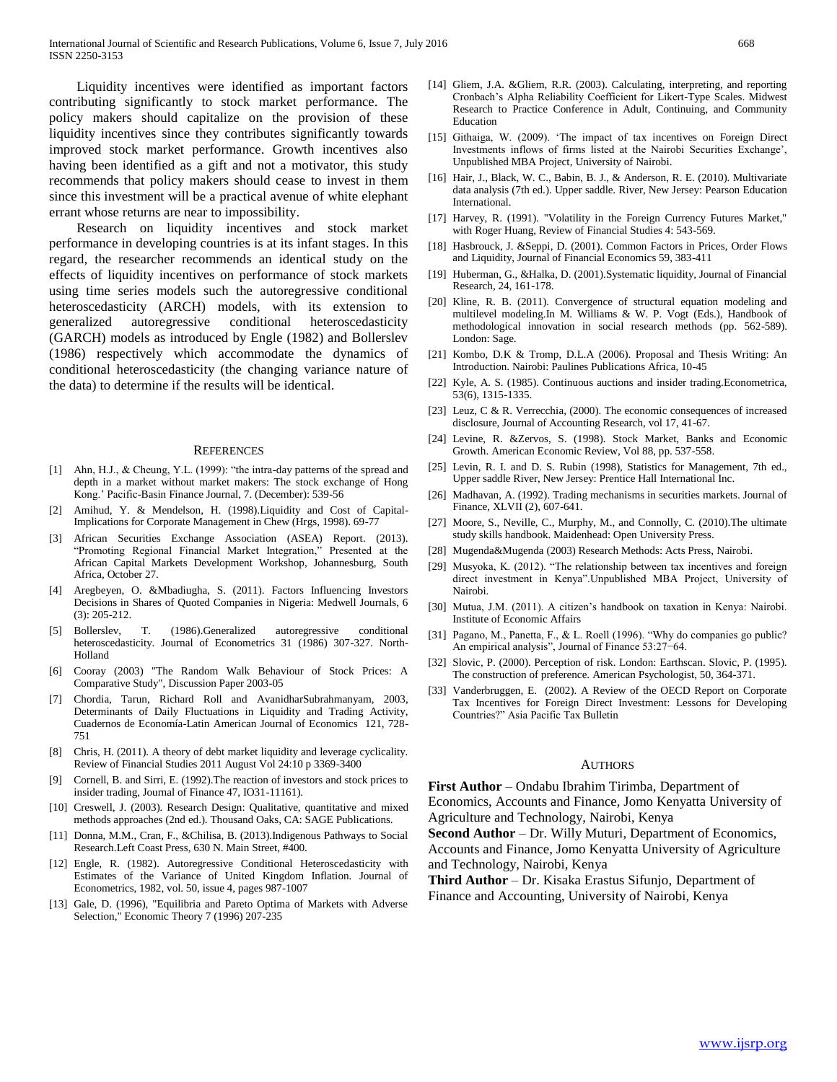Liquidity incentives were identified as important factors contributing significantly to stock market performance. The policy makers should capitalize on the provision of these liquidity incentives since they contributes significantly towards improved stock market performance. Growth incentives also having been identified as a gift and not a motivator, this study recommends that policy makers should cease to invest in them since this investment will be a practical avenue of white elephant errant whose returns are near to impossibility.

 Research on liquidity incentives and stock market performance in developing countries is at its infant stages. In this regard, the researcher recommends an identical study on the effects of liquidity incentives on performance of stock markets using time series models such the autoregressive conditional heteroscedasticity (ARCH) models, with its extension to generalized autoregressive conditional heteroscedasticity (GARCH) models as introduced by Engle (1982) and Bollerslev (1986) respectively which accommodate the dynamics of conditional heteroscedasticity (the changing variance nature of the data) to determine if the results will be identical.

#### **REFERENCES**

- [1] Ahn, H.J., & Cheung, Y.L. (1999): "the intra-day patterns of the spread and depth in a market without market makers: The stock exchange of Hong Kong.' Pacific-Basin Finance Journal, 7. (December): 539-56
- [2] Amihud, Y. & Mendelson, H. (1998).Liquidity and Cost of Capital-Implications for Corporate Management in Chew (Hrgs, 1998). 69-77
- [3] African Securities Exchange Association (ASEA) Report. (2013). "Promoting Regional Financial Market Integration," Presented at the African Capital Markets Development Workshop, Johannesburg, South Africa, October 27.
- [4] Aregbeyen, O. &Mbadiugha, S. (2011). Factors Influencing Investors Decisions in Shares of Quoted Companies in Nigeria: Medwell Journals, 6 (3): 205-212.
- [5] Bollerslev, T. (1986).Generalized autoregressive conditional heteroscedasticity. Journal of Econometrics 31 (1986) 307-327. North-Holland
- [6] Cooray (2003) "The Random Walk Behaviour of Stock Prices: A Comparative Study", Discussion Paper 2003-05
- [7] Chordia, Tarun, Richard Roll and AvanidharSubrahmanyam, 2003, Determinants of Daily Fluctuations in Liquidity and Trading Activity, Cuadernos de Economía-Latin American Journal of Economics 121, 728- 751
- [8] Chris, H. (2011). A theory of debt market liquidity and leverage cyclicality. Review of Financial Studies 2011 August Vol 24:10 p 3369-3400
- [9] Cornell, B. and Sirri, E. (1992).The reaction of investors and stock prices to insider trading, Journal of Finance 47, IO31-11161).
- [10] Creswell, J. (2003). Research Design: Qualitative, quantitative and mixed methods approaches (2nd ed.). Thousand Oaks, CA: SAGE Publications.
- [11] Donna, M.M., Cran, F., &Chilisa, B. (2013).Indigenous Pathways to Social Research.Left Coast Press, 630 N. Main Street, #400.
- [12] Engle, R. (1982). Autoregressive Conditional Heteroscedasticity with Estimates of the Variance of United Kingdom Inflation. Journal of Econometrics, 1982, vol. 50, issue 4, pages 987-1007
- [13] Gale, D. (1996), "Equilibria and Pareto Optima of Markets with Adverse Selection," Economic Theory 7 (1996) 207-235
- [14] Gliem, J.A. &Gliem, R.R. (2003). Calculating, interpreting, and reporting Cronbach's Alpha Reliability Coefficient for Likert-Type Scales. Midwest Research to Practice Conference in Adult, Continuing, and Community Education
- [15] Githaiga, W. (2009). 'The impact of tax incentives on Foreign Direct Investments inflows of firms listed at the Nairobi Securities Exchange', Unpublished MBA Project, University of Nairobi.
- [16] Hair, J., Black, W. C., Babin, B. J., & Anderson, R. E. (2010). Multivariate data analysis (7th ed.). Upper saddle. River, New Jersey: Pearson Education International.
- [17] Harvey, R. (1991). "Volatility in the Foreign Currency Futures Market," with Roger Huang, Review of Financial Studies 4: 543-569.
- [18] Hasbrouck, J. &Seppi, D. (2001). Common Factors in Prices, Order Flows and Liquidity, Journal of Financial Economics 59, 383-411
- [19] Huberman, G., &Halka, D. (2001).Systematic liquidity, Journal of Financial Research, 24, 161-178.
- [20] Kline, R. B. (2011). Convergence of structural equation modeling and multilevel modeling.In M. Williams & W. P. Vogt (Eds.), Handbook of methodological innovation in social research methods (pp. 562-589). London: Sage.
- [21] Kombo, D.K & Tromp, D.L.A (2006). Proposal and Thesis Writing: An Introduction. Nairobi: Paulines Publications Africa, 10-45
- [22] Kyle, A. S. (1985). Continuous auctions and insider trading.Econometrica, 53(6), 1315-1335.
- [23] Leuz, C & R. Verrecchia, (2000). The economic consequences of increased disclosure, Journal of Accounting Research, vol 17, 41-67.
- [24] Levine, R. &Zervos, S. (1998). Stock Market, Banks and Economic Growth. American Economic Review, Vol 88, pp. 537-558.
- [25] Levin, R. I. and D. S. Rubin (1998), Statistics for Management, 7th ed., Upper saddle River, New Jersey: Prentice Hall International Inc.
- [26] Madhavan, A. (1992). Trading mechanisms in securities markets. Journal of Finance, XLVII (2), 607-641.
- [27] Moore, S., Neville, C., Murphy, M., and Connolly, C. (2010). The ultimate study skills handbook. Maidenhead: Open University Press.
- [28] Mugenda&Mugenda (2003) Research Methods: Acts Press, Nairobi.
- [29] Musyoka, K. (2012). "The relationship between tax incentives and foreign direct investment in Kenya".Unpublished MBA Project, University of Nairobi.
- [30] Mutua, J.M. (2011). A citizen's handbook on taxation in Kenya: Nairobi. Institute of Economic Affairs
- [31] Pagano, M., Panetta, F., & L. Roell (1996). "Why do companies go public? An empirical analysis", Journal of Finance 53:27−64.
- [32] Slovic, P. (2000). Perception of risk. London: Earthscan. Slovic, P. (1995). The construction of preference. American Psychologist, 50, 364-371.
- [33] Vanderbruggen, E. (2002). A Review of the OECD Report on Corporate Tax Incentives for Foreign Direct Investment: Lessons for Developing Countries?" Asia Pacific Tax Bulletin

#### **AUTHORS**

**First Author** – Ondabu Ibrahim Tirimba, Department of Economics, Accounts and Finance, Jomo Kenyatta University of Agriculture and Technology, Nairobi, Kenya

**Second Author** – Dr. Willy Muturi, Department of Economics, Accounts and Finance, Jomo Kenyatta University of Agriculture and Technology, Nairobi, Kenya

**Third Author** – Dr. Kisaka Erastus Sifunjo, Department of Finance and Accounting, University of Nairobi, Kenya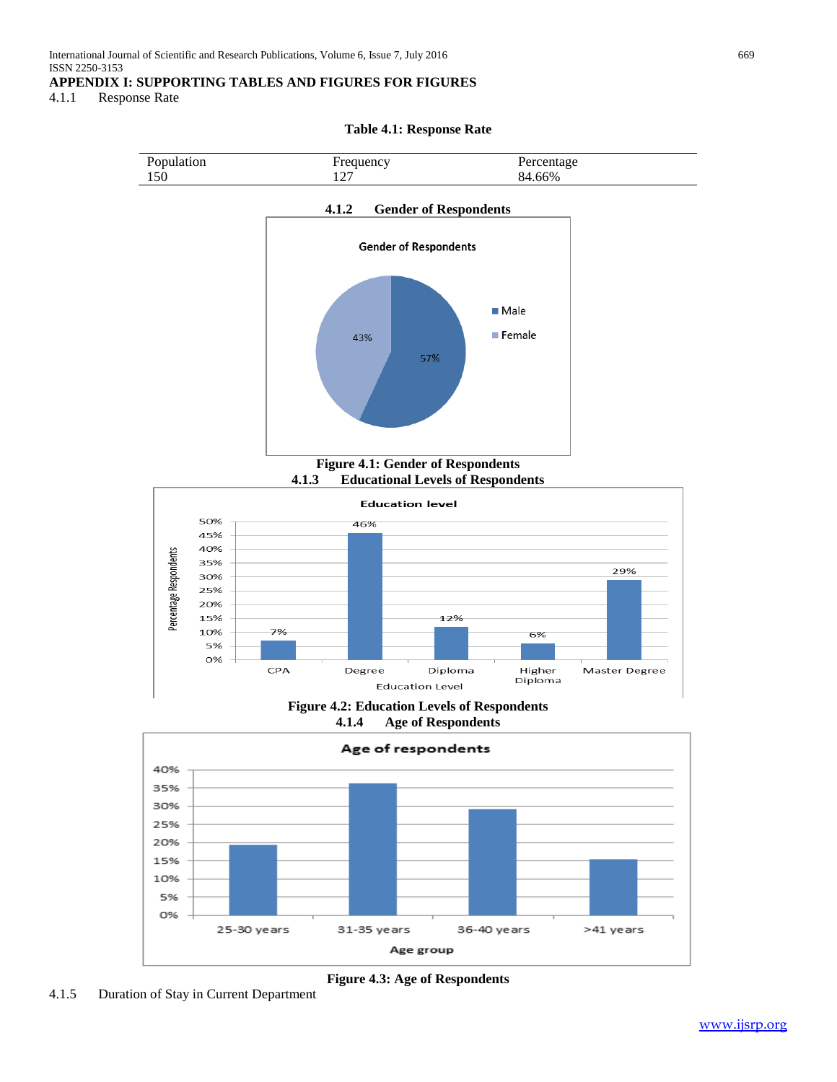# **APPENDIX I: SUPPORTING TABLES AND FIGURES FOR FIGURES**

4.1.1 Response Rate

**Table 4.1: Response Rate**



36-40 years

>41 years

31-35 years

25-30 years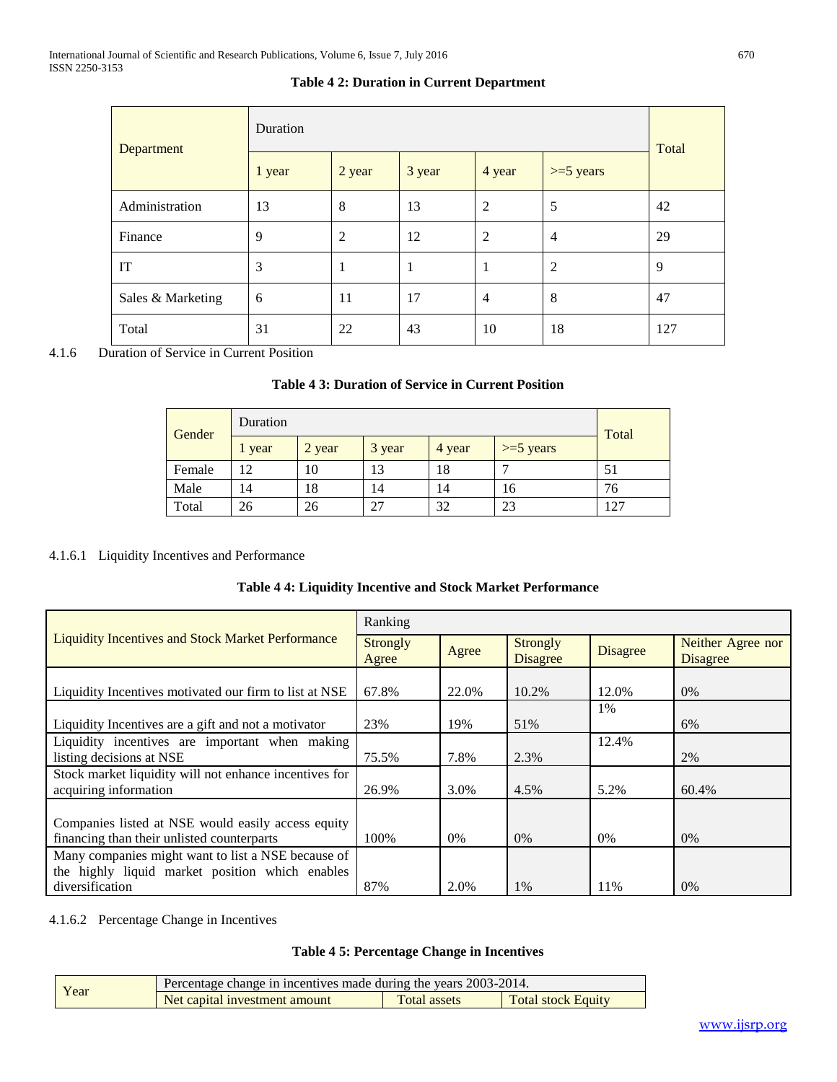| Department        | Duration | Total          |        |                |                |     |
|-------------------|----------|----------------|--------|----------------|----------------|-----|
|                   | 1 year   | 2 year         | 3 year | 4 year         | $>=5$ years    |     |
| Administration    | 13       | 8              | 13     | 2              | 5              | 42  |
| Finance           | 9        | $\overline{2}$ | 12     | 2              | $\overline{4}$ | 29  |
| IT                | 3        | 1              | 1      | 1              | 2              | 9   |
| Sales & Marketing | 6        | 11             | 17     | $\overline{4}$ | 8              | 47  |
| Total             | 31       | 22             | 43     | 10             | 18             | 127 |

# **Table 4 2: Duration in Current Department**

4.1.6 Duration of Service in Current Position

# **Table 4 3: Duration of Service in Current Position**

|        | Duration<br>Gender |        |        |        |             |       |  |
|--------|--------------------|--------|--------|--------|-------------|-------|--|
|        | 1 year             | 2 year | 3 year | 4 year | $>=5$ years | Total |  |
| Female | 12                 | 10     | 13     | 18     |             | 51    |  |
| Male   | 14                 | 18     | 14     | 14     | 16          | 76    |  |
| Total  | 26                 | 26     | 27     | 32     | 23          | 127   |  |

#### 4.1.6.1 Liquidity Incentives and Performance

|  |  |  | Table 4 4: Liquidity Incentive and Stock Market Performance |
|--|--|--|-------------------------------------------------------------|
|  |  |  |                                                             |

|                                                                                                                          | Ranking                  |       |                                    |                 |                                      |
|--------------------------------------------------------------------------------------------------------------------------|--------------------------|-------|------------------------------------|-----------------|--------------------------------------|
| <b>Liquidity Incentives and Stock Market Performance</b>                                                                 | <b>Strongly</b><br>Agree | Agree | <b>Strongly</b><br><b>Disagree</b> | <b>Disagree</b> | Neither Agree nor<br><b>Disagree</b> |
| Liquidity Incentives motivated our firm to list at NSE                                                                   | 67.8%                    | 22.0% | 10.2%                              | 12.0%           | 0%                                   |
| Liquidity Incentives are a gift and not a motivator                                                                      | 23%                      | 19%   | 51%                                | 1%              | 6%                                   |
| Liquidity incentives are important when making<br>listing decisions at NSE                                               | 75.5%                    | 7.8%  | 2.3%                               | 12.4%           | 2%                                   |
| Stock market liquidity will not enhance incentives for<br>acquiring information                                          | 26.9%                    | 3.0%  | 4.5%                               | 5.2%            | 60.4%                                |
| Companies listed at NSE would easily access equity<br>financing than their unlisted counterparts                         | 100\%                    | $0\%$ | $0\%$                              | 0%              | 0%                                   |
| Many companies might want to list a NSE because of<br>the highly liquid market position which enables<br>diversification | 87%                      | 2.0%  | 1%                                 | 11%             | 0%                                   |

# 4.1.6.2 Percentage Change in Incentives

#### **Table 4 5: Percentage Change in Incentives**

| Year | Percentage change in incentives made during the years 2003-2014. |                     |                           |
|------|------------------------------------------------------------------|---------------------|---------------------------|
|      | Net capital investment amount                                    | <b>Total assets</b> | <b>Total stock Equity</b> |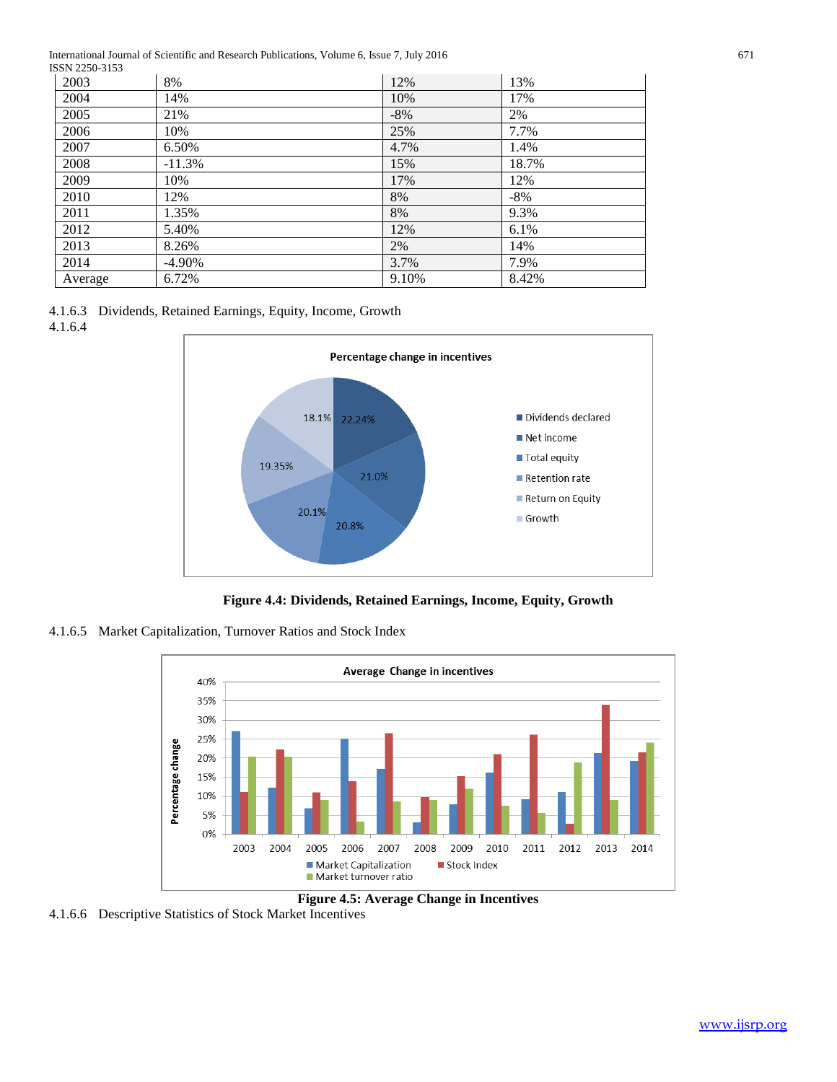International Journal of Scientific and Research Publications, Volume 6, Issue 7, July 2016 671 **ISSN 2250-3153** 

| DJI 22JU-JIJJ |           |        |        |
|---------------|-----------|--------|--------|
| 2003          | 8%        | 12%    | 13%    |
| 2004          | 14%       | 10%    | 17%    |
| 2005          | 21%       | $-8\%$ | 2%     |
| 2006          | 10%       | 25%    | 7.7%   |
| 2007          | 6.50%     | 4.7%   | 1.4%   |
| 2008          | $-11.3%$  | 15%    | 18.7%  |
| 2009          | 10%       | 17%    | 12%    |
| 2010          | 12%       | 8%     | $-8\%$ |
| 2011          | 1.35%     | 8%     | 9.3%   |
| 2012          | 5.40%     | 12%    | 6.1%   |
| 2013          | 8.26%     | 2%     | 14%    |
| 2014          | $-4.90\%$ | 3.7%   | 7.9%   |
| Average       | 6.72%     | 9.10%  | 8.42%  |

4.1.6.3 Dividends, Retained Earnings, Equity, Income, Growth 4.1.6.4



**Figure 4.4: Dividends, Retained Earnings, Income, Equity, Growth**

4.1.6.5 Market Capitalization, Turnover Ratios and Stock Index



**Figure 4.5: Average Change in Incentives**

4.1.6.6 Descriptive Statistics of Stock Market Incentives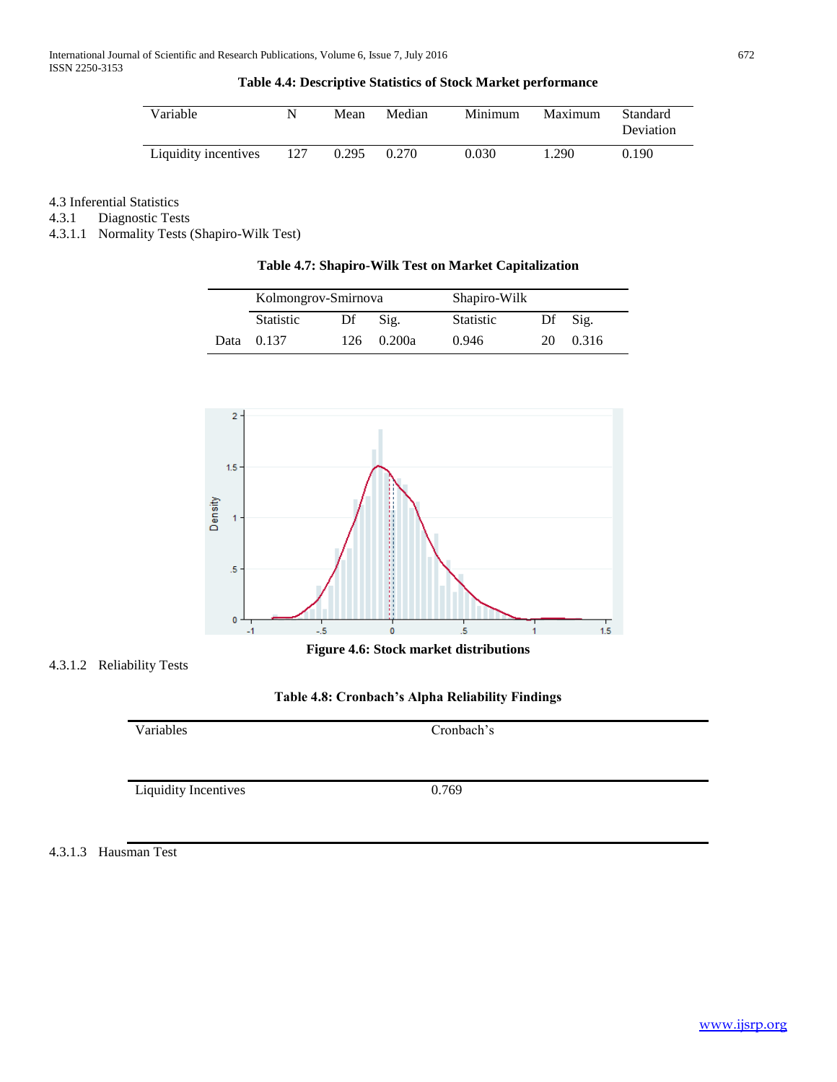#### **Table 4.4: Descriptive Statistics of Stock Market performance**

| Variable             |     | Mean  | Median | Minimum | Maximum | Standard<br>Deviation |
|----------------------|-----|-------|--------|---------|---------|-----------------------|
| Liquidity incentives | 127 | 0.295 | 0.270  | 0.030   | 1.290   | 0.190                 |

# 4.3 Inferential Statistics

4.3.1 Diagnostic Tests

4.3.1.1 Normality Tests (Shapiro-Wilk Test)

#### **Table 4.7: Shapiro-Wilk Test on Market Capitalization**

|      | Kolmongrov-Smirnova |      |        | Shapiro-Wilk     |    |       |
|------|---------------------|------|--------|------------------|----|-------|
|      | Statistic           | Df   | Sig.   | <b>Statistic</b> | Df | Sig.  |
| Data | 0.137               | 126. | 0.200a | 0.946            | 20 | 0.316 |



4.3.1.2 Reliability Tests



Variables Cronbach's Liquidity Incentives 0.769

4.3.1.3 Hausman Test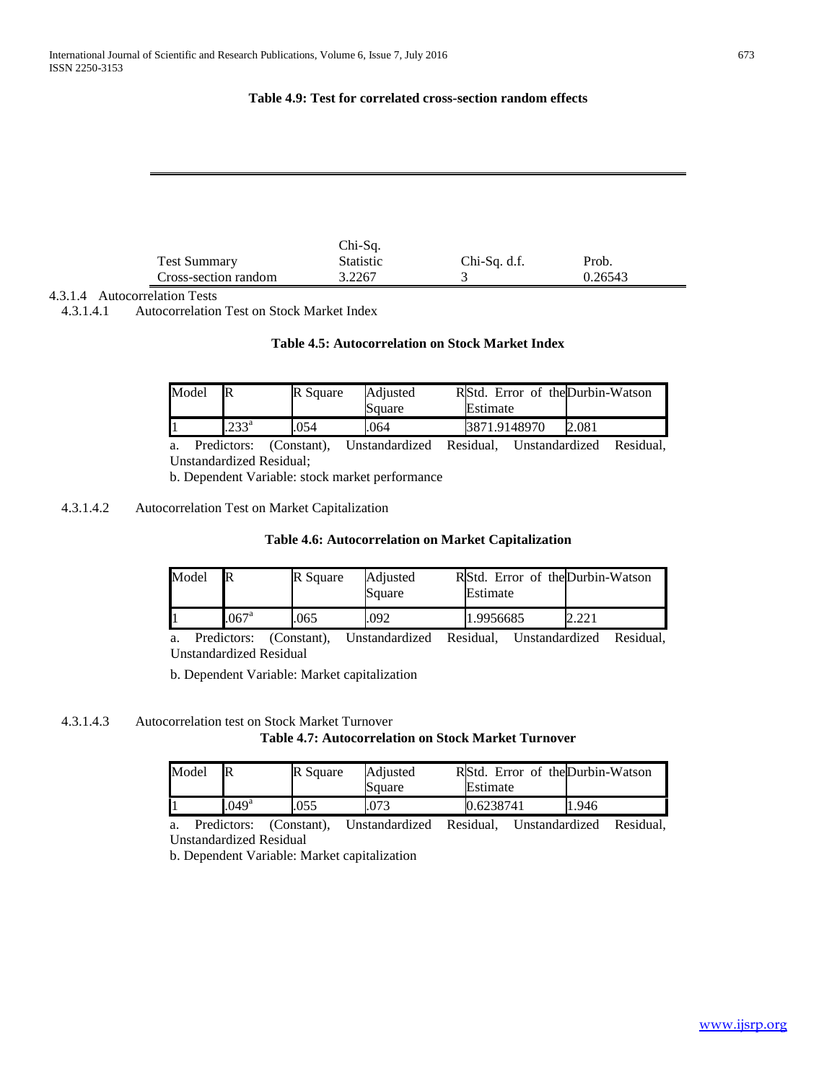#### **Table 4.9: Test for correlated cross-section random effects**

|                      | $Chi-Sq.$        |              |         |  |
|----------------------|------------------|--------------|---------|--|
| <b>Test Summary</b>  | <b>Statistic</b> | Chi-Sq. d.f. | Prob.   |  |
| Cross-section random | 3.2267           |              | 0.26543 |  |

#### 4.3.1.4 Autocorrelation Tests

4.3.1.4.1 Autocorrelation Test on Stock Market Index

#### **Table 4.5: Autocorrelation on Stock Market Index**

| Model | $\mathbb R$    | R Square | Adjusted<br>Square | RStd. Error of the Durbin-Watson<br>Estimate |       |
|-------|----------------|----------|--------------------|----------------------------------------------|-------|
|       | $.233^{\rm a}$ | 054      | .064               | 3871.9148970                                 | 2.081 |

a. Predictors: (Constant), Unstandardized Residual, Unstandardized Residual, Unstandardized Residual;

b. Dependent Variable: stock market performance

#### 4.3.1.4.2 Autocorrelation Test on Market Capitalization

#### **Table 4.6: Autocorrelation on Market Capitalization**

| Model |                    | R Square | Adiusted<br>Square | Estimate  | RIStd. Error of the Durbin-Watson |
|-------|--------------------|----------|--------------------|-----------|-----------------------------------|
|       | $067$ <sup>a</sup> | .065     | .092               | 1.9956685 |                                   |

a. Predictors: (Constant), Unstandardized Residual, Unstandardized Residual, Unstandardized Residual

b. Dependent Variable: Market capitalization

#### 4.3.1.4.3 Autocorrelation test on Stock Market Turnover **Table 4.7: Autocorrelation on Stock Market Turnover**

| Model |                   | <b>R</b> Square | Adjusted<br>Square | RStd. Error of the Durbin-Watson<br>Estimate |      |
|-------|-------------------|-----------------|--------------------|----------------------------------------------|------|
|       | .049 <sup>a</sup> | .055            | .073               | 0.6238741                                    | .946 |

a. Predictors: (Constant), Unstandardized Residual, Unstandardized Residual, Unstandardized Residual

b. Dependent Variable: Market capitalization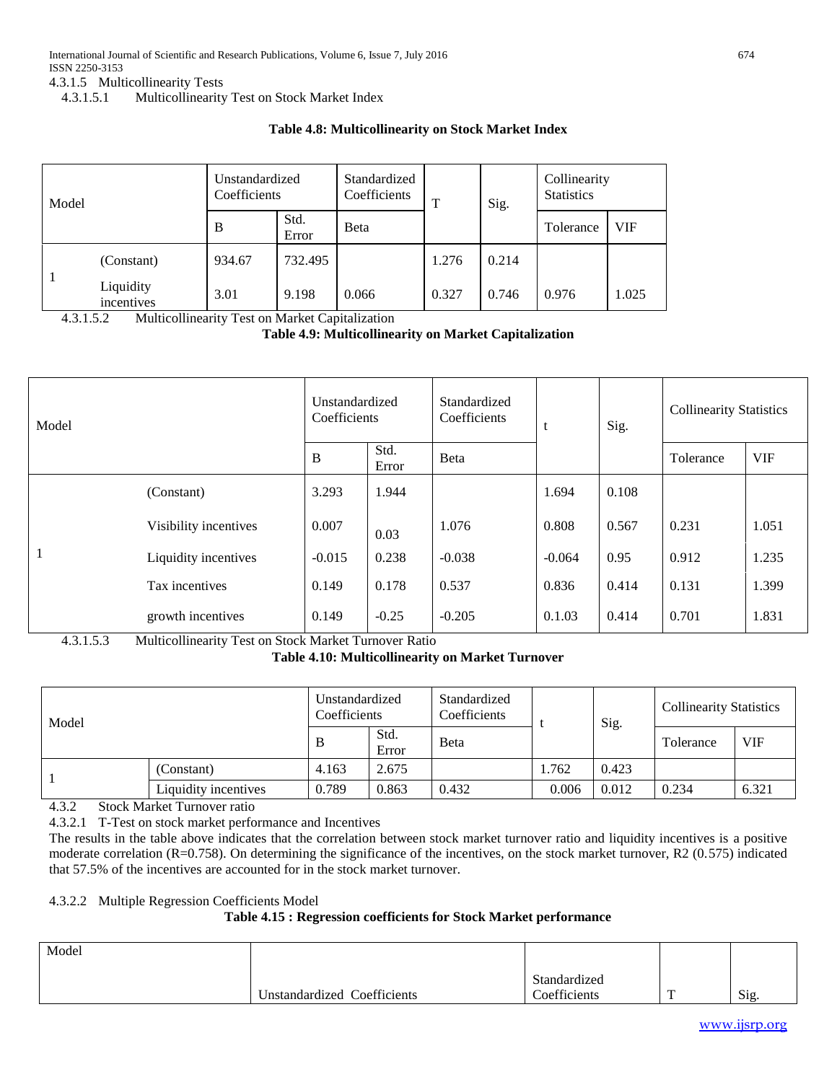4.3.1.5 Multicollinearity Tests

4.3.1.5.1 Multicollinearity Test on Stock Market Index

#### **Table 4.8: Multicollinearity on Stock Market Index**

| Model |                         | Unstandardized<br>Coefficients |               | Standardized<br>Coefficients | т     | Sig.  | Collinearity<br><b>Statistics</b> |       |
|-------|-------------------------|--------------------------------|---------------|------------------------------|-------|-------|-----------------------------------|-------|
|       |                         | B                              | Std.<br>Error | <b>B</b> eta                 |       |       | Tolerance                         | VIF   |
|       | (Constant)              | 934.67                         | 732.495       |                              | 1.276 | 0.214 |                                   |       |
|       | Liquidity<br>incentives | 3.01                           | 9.198         | 0.066                        | 0.327 | 0.746 | 0.976                             | 1.025 |

4.3.1.5.2 Multicollinearity Test on Market Capitalization

#### **Table 4.9: Multicollinearity on Market Capitalization**

| Model |                       | Unstandardized<br>Coefficients |               | Standardized<br>Coefficients |          | Sig.  | <b>Collinearity Statistics</b> |            |
|-------|-----------------------|--------------------------------|---------------|------------------------------|----------|-------|--------------------------------|------------|
|       |                       | B                              | Std.<br>Error | Beta                         |          |       | Tolerance                      | <b>VIF</b> |
|       | (Constant)            | 3.293                          | 1.944         |                              | 1.694    | 0.108 |                                |            |
|       | Visibility incentives | 0.007                          | 0.03          | 1.076                        | 0.808    | 0.567 | 0.231                          | 1.051      |
|       | Liquidity incentives  | $-0.015$                       | 0.238         | $-0.038$                     | $-0.064$ | 0.95  | 0.912                          | 1.235      |
|       | Tax incentives        | 0.149                          | 0.178         | 0.537                        | 0.836    | 0.414 | 0.131                          | 1.399      |
|       | growth incentives     | 0.149                          | $-0.25$       | $-0.205$                     | 0.1.03   | 0.414 | 0.701                          | 1.831      |

4.3.1.5.3 Multicollinearity Test on Stock Market Turnover Ratio

**Table 4.10: Multicollinearity on Market Turnover**

| Model |                      | Unstandardized<br>Coefficients |               | Standardized<br>Coefficients |       | Sig.  | <b>Collinearity Statistics</b> |            |
|-------|----------------------|--------------------------------|---------------|------------------------------|-------|-------|--------------------------------|------------|
|       |                      | B                              | Std.<br>Error | <b>B</b> eta                 |       |       | Tolerance                      | <b>VIF</b> |
|       | (Constant)           | 4.163                          | 2.675         |                              | 1.762 | 0.423 |                                |            |
|       | Liquidity incentives | 0.789                          | 0.863         | 0.432                        | 0.006 | 0.012 | 0.234                          | 6.321      |

4.3.2 Stock Market Turnover ratio

4.3.2.1 T-Test on stock market performance and Incentives

The results in the table above indicates that the correlation between stock market turnover ratio and liquidity incentives is a positive moderate correlation (R=0.758). On determining the significance of the incentives, on the stock market turnover, R2 (0.575) indicated that 57.5% of the incentives are accounted for in the stock market turnover.

#### 4.3.2.2 Multiple Regression Coefficients Model

# **Table 4.15 : Regression coefficients for Stock Market performance**

| Model |                             |                              |              |      |
|-------|-----------------------------|------------------------------|--------------|------|
|       | Unstandardized Coefficients | Standardized<br>Coefficients | $\mathbf{r}$ | Sig. |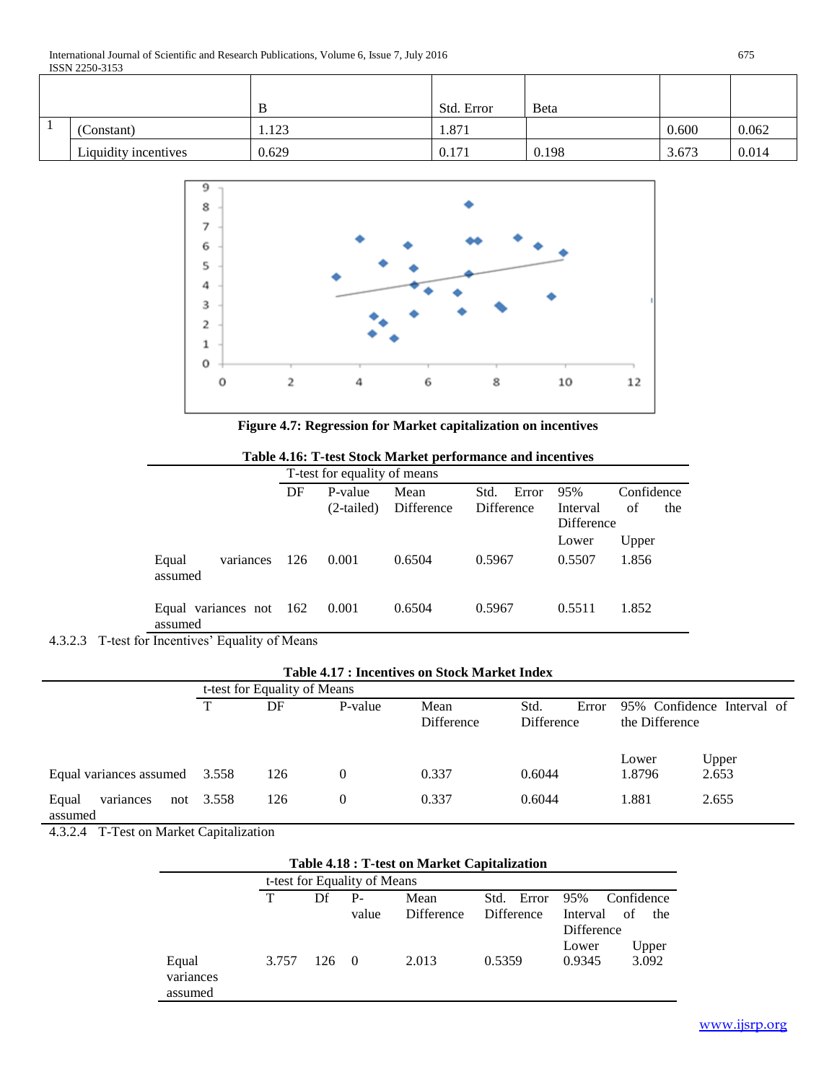|                      |       | Std. Error | <b>B</b> eta |       |       |
|----------------------|-------|------------|--------------|-------|-------|
| (Constant)           | 1.123 | 1.871      |              | 0.600 | 0.062 |
| Liquidity incentives | 0.629 | 0.171      | 0.198        | 3.673 | 0.014 |



**Figure 4.7: Regression for Market capitalization on incentives**

|                                    |     | T-test for equality of means |            |               |          |            |  |  |  |
|------------------------------------|-----|------------------------------|------------|---------------|----------|------------|--|--|--|
|                                    | DF  | P-value                      | Mean       | Error<br>Std. | 95%      | Confidence |  |  |  |
|                                    |     | (2-tailed)                   | Difference | Difference    | Interval | of<br>the  |  |  |  |
|                                    |     |                              |            | Difference    |          |            |  |  |  |
|                                    |     |                              |            |               | Lower    | Upper      |  |  |  |
| Equal<br>variances<br>assumed      | 126 | 0.001                        | 0.6504     | 0.5967        | 0.5507   | 1.856      |  |  |  |
| Equal variances not 162<br>assumed |     | 0.001                        | 0.6504     | 0.5967        | 0.5511   | 1.852      |  |  |  |

**Table 4.16: T-test Stock Market performance and incentives**

4.3.2.3 T-test for Incentives' Equality of Means

**Table 4.17 : Incentives on Stock Market Index**

|                               | t-test for Equality of Means |     |          |                    |                                               |                 |                            |  |  |
|-------------------------------|------------------------------|-----|----------|--------------------|-----------------------------------------------|-----------------|----------------------------|--|--|
|                               | T                            | DF  | P-value  | Mean<br>Difference | Std.<br>Error<br>the Difference<br>Difference |                 | 95% Confidence Interval of |  |  |
| Equal variances assumed 3.558 |                              | 126 | $\Omega$ | 0.337              | 0.6044                                        | Lower<br>1.8796 | Upper<br>2.653             |  |  |
| Equal<br>variances<br>assumed | not 3.558                    | 126 | $\Omega$ | 0.337              | 0.6044                                        | 1.881           | 2.655                      |  |  |

4.3.2.4 T-Test on Market Capitalization

| Table 4.18 : T-test on Market Capitalization |     |       |            |                              |                       |  |  |  |  |  |  |
|----------------------------------------------|-----|-------|------------|------------------------------|-----------------------|--|--|--|--|--|--|
|                                              |     |       |            |                              |                       |  |  |  |  |  |  |
| т                                            | Df  | $P-$  | Mean       | Std. Error                   | 95%<br>Confidence     |  |  |  |  |  |  |
|                                              |     | value | Difference | Difference                   | Interval<br>of<br>the |  |  |  |  |  |  |
|                                              |     |       |            |                              | Difference            |  |  |  |  |  |  |
|                                              |     |       |            |                              | Upper<br>Lower        |  |  |  |  |  |  |
| 3.757                                        | 126 |       | 2.013      | 0.5359                       | 3.092<br>0.9345       |  |  |  |  |  |  |
|                                              |     |       | $\bigcirc$ | t-test for Equality of Means |                       |  |  |  |  |  |  |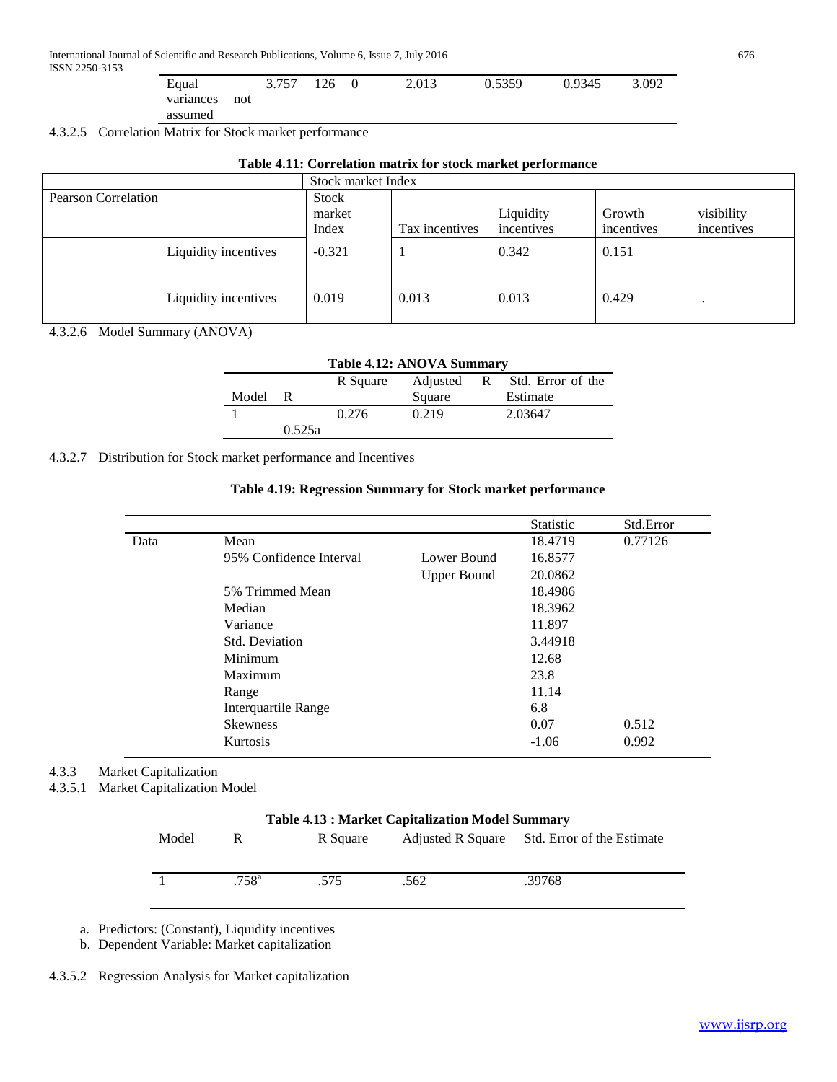| Equal     |     | 3.757 | 126 | $\theta$ | 2.013 | 0.5359 | 0.9345 | 3.092 |
|-----------|-----|-------|-----|----------|-------|--------|--------|-------|
| variances | not |       |     |          |       |        |        |       |
| assumed   |     |       |     |          |       |        |        |       |

4.3.2.5 Correlation Matrix for Stock market performance

| Table 4.11: Correlation matrix for stock market performance |  |  |
|-------------------------------------------------------------|--|--|
|-------------------------------------------------------------|--|--|

|                      | Stock market Index       |                |                         |                      |                          |  |
|----------------------|--------------------------|----------------|-------------------------|----------------------|--------------------------|--|
| Pearson Correlation  | Stock<br>market<br>Index | Tax incentives | Liquidity<br>incentives | Growth<br>incentives | visibility<br>incentives |  |
| Liquidity incentives | $-0.321$                 |                | 0.342                   | 0.151                |                          |  |
| Liquidity incentives | 0.019                    | 0.013          | 0.013                   | 0.429                |                          |  |

4.3.2.6 Model Summary (ANOVA)

| Table 4.12: ANOVA Summary |        |          |        |  |                              |  |  |
|---------------------------|--------|----------|--------|--|------------------------------|--|--|
|                           |        | R Square |        |  | Adjusted R Std. Error of the |  |  |
| Model                     | R      |          | Square |  | Estimate                     |  |  |
|                           |        | 0.276    | 0.219  |  | 2.03647                      |  |  |
|                           | 0.525a |          |        |  |                              |  |  |

4.3.2.7 Distribution for Stock market performance and Incentives

| Table 4.19: Regression Summary for Stock market performance |
|-------------------------------------------------------------|
|-------------------------------------------------------------|

|      |                            |                    | <b>Statistic</b> | Std.Error |
|------|----------------------------|--------------------|------------------|-----------|
| Data | Mean                       |                    | 18.4719          | 0.77126   |
|      | 95% Confidence Interval    | Lower Bound        | 16.8577          |           |
|      |                            | <b>Upper Bound</b> | 20.0862          |           |
|      | 5% Trimmed Mean            |                    |                  |           |
|      | Median                     |                    |                  |           |
|      | Variance                   | 11.897             |                  |           |
|      | Std. Deviation             |                    | 3.44918          |           |
|      | Minimum                    |                    | 12.68            |           |
|      | Maximum                    |                    | 23.8             |           |
|      | Range                      |                    | 11.14            |           |
|      | <b>Interquartile Range</b> |                    | 6.8              |           |
|      | <b>Skewness</b>            |                    | 0.07             | 0.512     |
|      | <b>Kurtosis</b>            |                    | $-1.06$          | 0.992     |

# 4.3.3 Market Capitalization

4.3.5.1 Market Capitalization Model

| <b>Table 4.13: Market Capitalization Model Summary</b> |                |          |      |                                              |  |  |  |
|--------------------------------------------------------|----------------|----------|------|----------------------------------------------|--|--|--|
| Model                                                  | R              | R Square |      | Adjusted R Square Std. Error of the Estimate |  |  |  |
|                                                        |                |          |      |                                              |  |  |  |
|                                                        | $.758^{\rm a}$ | .575     | .562 | .39768                                       |  |  |  |

a. Predictors: (Constant), Liquidity incentives

b. Dependent Variable: Market capitalization

4.3.5.2 Regression Analysis for Market capitalization